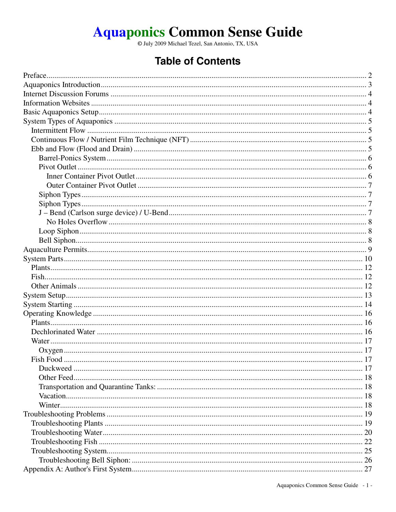# Aquaponics Common Sense Guide

## **Table of Contents**

| Fish Food | $\sim$ 17 |
|-----------|-----------|
|           |           |
|           |           |
|           |           |
|           |           |
|           |           |
|           |           |
|           |           |
|           |           |
|           |           |
|           |           |
|           |           |
|           |           |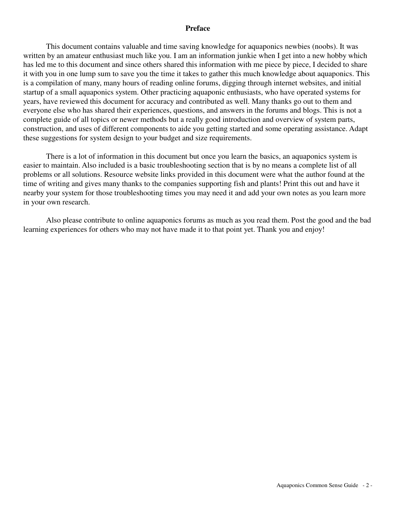#### **Preface**

This document contains valuable and time saving knowledge for aquaponics newbies (noobs). It was written by an amateur enthusiast much like you. I am an information junkie when I get into a new hobby which has led me to this document and since others shared this information with me piece by piece, I decided to share it with you in one lump sum to save you the time it takes to gather this much knowledge about aquaponics. This is a compilation of many, many hours of reading online forums, digging through internet websites, and initial startup of a small aquaponics system. Other practicing aquaponic enthusiasts, who have operated systems for years, have reviewed this document for accuracy and contributed as well. Many thanks go out to them and everyone else who has shared their experiences, questions, and answers in the forums and blogs. This is not a complete guide of all topics or newer methods but a really good introduction and overview of system parts, construction, and uses of different components to aide you getting started and some operating assistance. Adapt these suggestions for system design to your budget and size requirements.

 There is a lot of information in this document but once you learn the basics, an aquaponics system is easier to maintain. Also included is a basic troubleshooting section that is by no means a complete list of all problems or all solutions. Resource website links provided in this document were what the author found at the time of writing and gives many thanks to the companies supporting fish and plants! Print this out and have it nearby your system for those troubleshooting times you may need it and add your own notes as you learn more in your own research.

 Also please contribute to online aquaponics forums as much as you read them. Post the good and the bad learning experiences for others who may not have made it to that point yet. Thank you and enjoy!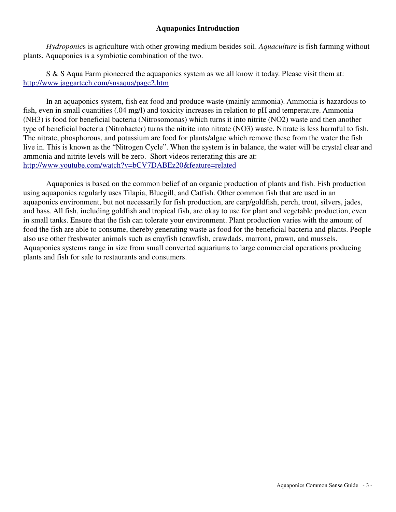## **Aquaponics Introduction**

 *Hydroponic*s is agriculture with other growing medium besides soil. *Aquaculture* is fish farming without plants. Aquaponics is a symbiotic combination of the two.

 S & S Aqua Farm pioneered the aquaponics system as we all know it today. Please visit them at: http://www.jaggartech.com/snsaqua/page2.htm

 In an aquaponics system, fish eat food and produce waste (mainly ammonia). Ammonia is hazardous to fish, even in small quantities (.04 mg/l) and toxicity increases in relation to pH and temperature. Ammonia (NH3) is food for beneficial bacteria (Nitrosomonas) which turns it into nitrite (NO2) waste and then another type of beneficial bacteria (Nitrobacter) turns the nitrite into nitrate (NO3) waste. Nitrate is less harmful to fish. The nitrate, phosphorous, and potassium are food for plants/algae which remove these from the water the fish live in. This is known as the "Nitrogen Cycle". When the system is in balance, the water will be crystal clear and ammonia and nitrite levels will be zero. Short videos reiterating this are at: http://www.youtube.com/watch?v=bCV7DABEz20&feature=related

 Aquaponics is based on the common belief of an organic production of plants and fish. Fish production using aquaponics regularly uses Tilapia, Bluegill, and Catfish. Other common fish that are used in an aquaponics environment, but not necessarily for fish production, are carp/goldfish, perch, trout, silvers, jades, and bass. All fish, including goldfish and tropical fish, are okay to use for plant and vegetable production, even in small tanks. Ensure that the fish can tolerate your environment. Plant production varies with the amount of food the fish are able to consume, thereby generating waste as food for the beneficial bacteria and plants. People also use other freshwater animals such as crayfish (crawfish, crawdads, marron), prawn, and mussels. Aquaponics systems range in size from small converted aquariums to large commercial operations producing plants and fish for sale to restaurants and consumers.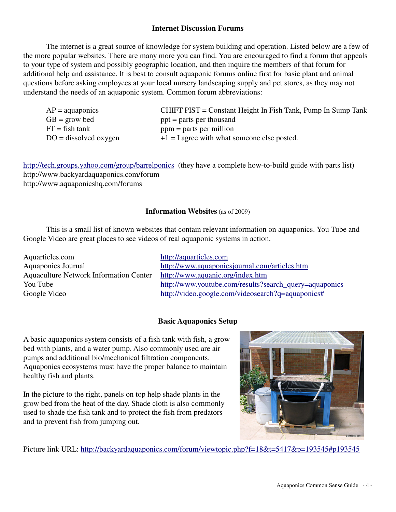## **Internet Discussion Forums**

 The internet is a great source of knowledge for system building and operation. Listed below are a few of the more popular websites. There are many more you can find. You are encouraged to find a forum that appeals to your type of system and possibly geographic location, and then inquire the members of that forum for additional help and assistance. It is best to consult aquaponic forums online first for basic plant and animal questions before asking employees at your local nursery landscaping supply and pet stores, as they may not understand the needs of an aquaponic system. Common forum abbreviations:

|                                                                          | CHIFT PIST = Constant Height In Fish Tank, Pump In Sump Tank |
|--------------------------------------------------------------------------|--------------------------------------------------------------|
| $GB = grow bed$<br>$ppt = parts per thousand$                            |                                                              |
| $FT = fish tank$<br>$ppm =$ parts per million                            |                                                              |
| $+1 = I$ agree with what someone else posted.<br>$DO = dissolved$ oxygen |                                                              |

http://tech.groups.yahoo.com/group/barrelponics (they have a complete how-to-build guide with parts list) http://www.backyardaquaponics.com/forum http://www.aquaponicshq.com/forums

#### **Information Websites** (as of 2009)

 This is a small list of known websites that contain relevant information on aquaponics. You Tube and Google Video are great places to see videos of real aquaponic systems in action.

Aquarticles.com http://aquarticles.com Aquaculture Network Information Center http://www.aquanic.org/index.htm

Aquaponics Journal http://www.aquaponicsjournal.com/articles.htm You Tube http://www.youtube.com/results?search\_query=aquaponics Google Video http://video.google.com/videosearch?q=aquaponics#

#### **Basic Aquaponics Setup**

A basic aquaponics system consists of a fish tank with fish, a grow bed with plants, and a water pump. Also commonly used are air pumps and additional bio/mechanical filtration components. Aquaponics ecosystems must have the proper balance to maintain healthy fish and plants.

In the picture to the right, panels on top help shade plants in the grow bed from the heat of the day. Shade cloth is also commonly used to shade the fish tank and to protect the fish from predators and to prevent fish from jumping out.



Picture link URL: http://backyardaquaponics.com/forum/viewtopic.php?f=18&t=5417&p=193545#p193545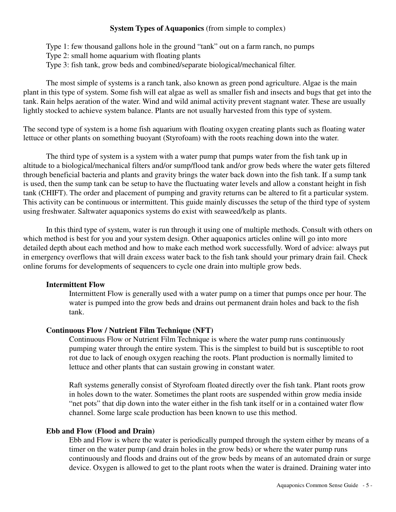#### **System Types of Aquaponics** (from simple to complex)

Type 1: few thousand gallons hole in the ground "tank" out on a farm ranch, no pumps Type 2: small home aquarium with floating plants Type 3: fish tank, grow beds and combined/separate biological/mechanical filter.

 The most simple of systems is a ranch tank, also known as green pond agriculture. Algae is the main plant in this type of system. Some fish will eat algae as well as smaller fish and insects and bugs that get into the tank. Rain helps aeration of the water. Wind and wild animal activity prevent stagnant water. These are usually lightly stocked to achieve system balance. Plants are not usually harvested from this type of system.

The second type of system is a home fish aquarium with floating oxygen creating plants such as floating water lettuce or other plants on something buoyant (Styrofoam) with the roots reaching down into the water.

 The third type of system is a system with a water pump that pumps water from the fish tank up in altitude to a biological/mechanical filters and/or sump/flood tank and/or grow beds where the water gets filtered through beneficial bacteria and plants and gravity brings the water back down into the fish tank. If a sump tank is used, then the sump tank can be setup to have the fluctuating water levels and allow a constant height in fish tank (CHIFT). The order and placement of pumping and gravity returns can be altered to fit a particular system. This activity can be continuous or intermittent. This guide mainly discusses the setup of the third type of system using freshwater. Saltwater aquaponics systems do exist with seaweed/kelp as plants.

 In this third type of system, water is run through it using one of multiple methods. Consult with others on which method is best for you and your system design. Other aquaponics articles online will go into more detailed depth about each method and how to make each method work successfully. Word of advice: always put in emergency overflows that will drain excess water back to the fish tank should your primary drain fail. Check online forums for developments of sequencers to cycle one drain into multiple grow beds.

#### **Intermittent Flow**

Intermittent Flow is generally used with a water pump on a timer that pumps once per hour. The water is pumped into the grow beds and drains out permanent drain holes and back to the fish tank.

#### **Continuous Flow / Nutrient Film Technique (NFT)**

Continuous Flow or Nutrient Film Technique is where the water pump runs continuously pumping water through the entire system. This is the simplest to build but is susceptible to root rot due to lack of enough oxygen reaching the roots. Plant production is normally limited to lettuce and other plants that can sustain growing in constant water.

Raft systems generally consist of Styrofoam floated directly over the fish tank. Plant roots grow in holes down to the water. Sometimes the plant roots are suspended within grow media inside "net pots" that dip down into the water either in the fish tank itself or in a contained water flow channel. Some large scale production has been known to use this method.

#### **Ebb and Flow (Flood and Drain)**

Ebb and Flow is where the water is periodically pumped through the system either by means of a timer on the water pump (and drain holes in the grow beds) or where the water pump runs continuously and floods and drains out of the grow beds by means of an automated drain or surge device. Oxygen is allowed to get to the plant roots when the water is drained. Draining water into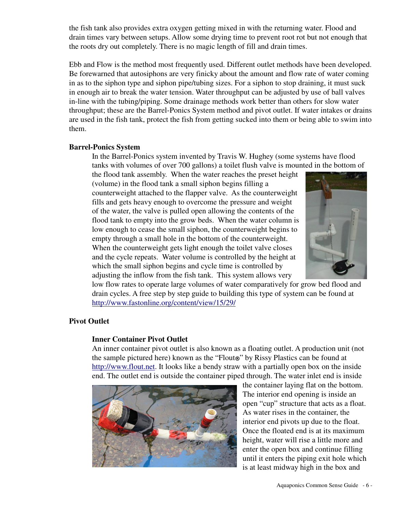the fish tank also provides extra oxygen getting mixed in with the returning water. Flood and drain times vary between setups. Allow some drying time to prevent root rot but not enough that the roots dry out completely. There is no magic length of fill and drain times.

Ebb and Flow is the method most frequently used. Different outlet methods have been developed. Be forewarned that autosiphons are very finicky about the amount and flow rate of water coming in as to the siphon type and siphon pipe/tubing sizes. For a siphon to stop draining, it must suck in enough air to break the water tension. Water throughput can be adjusted by use of ball valves in-line with the tubing/piping. Some drainage methods work better than others for slow water throughput; these are the Barrel-Ponics System method and pivot outlet. If water intakes or drains are used in the fish tank, protect the fish from getting sucked into them or being able to swim into them.

#### **Barrel-Ponics System**

In the Barrel-Ponics system invented by Travis W. Hughey (some systems have flood tanks with volumes of over 700 gallons) a toilet flush valve is mounted in the bottom of

the flood tank assembly. When the water reaches the preset height (volume) in the flood tank a small siphon begins filling a counterweight attached to the flapper valve. As the counterweight fills and gets heavy enough to overcome the pressure and weight of the water, the valve is pulled open allowing the contents of the flood tank to empty into the grow beds. When the water column is low enough to cease the small siphon, the counterweight begins to empty through a small hole in the bottom of the counterweight. When the counterweight gets light enough the toilet valve closes and the cycle repeats. Water volume is controlled by the height at which the small siphon begins and cycle time is controlled by adjusting the inflow from the fish tank. This system allows very



low flow rates to operate large volumes of water comparatively for grow bed flood and drain cycles. A free step by step guide to building this type of system can be found at http://www.fastonline.org/content/view/15/29/

#### **Pivot Outlet**

#### **Inner Container Pivot Outlet**

An inner container pivot outlet is also known as a floating outlet. A production unit (not the sample pictured here) known as the "Flout®" by Rissy Plastics can be found at http://www.flout.net. It looks like a bendy straw with a partially open box on the inside end. The outlet end is outside the container piped through. The water inlet end is inside



the container laying flat on the bottom. The interior end opening is inside an open "cup" structure that acts as a float. As water rises in the container, the interior end pivots up due to the float. Once the floated end is at its maximum height, water will rise a little more and enter the open box and continue filling until it enters the piping exit hole which is at least midway high in the box and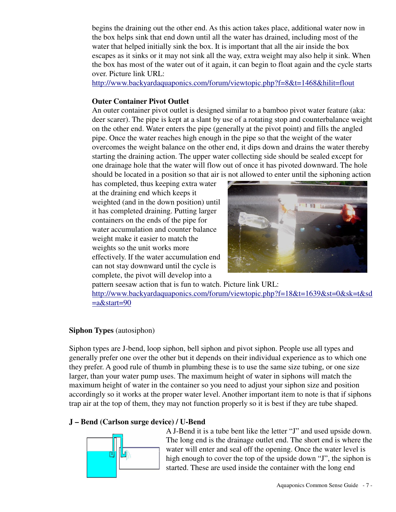begins the draining out the other end. As this action takes place, additional water now in the box helps sink that end down until all the water has drained, including most of the water that helped initially sink the box. It is important that all the air inside the box escapes as it sinks or it may not sink all the way, extra weight may also help it sink. When the box has most of the water out of it again, it can begin to float again and the cycle starts over. Picture link URL:

http://www.backyardaquaponics.com/forum/viewtopic.php?f=8&t=1468&hilit=flout

## **Outer Container Pivot Outlet**

An outer container pivot outlet is designed similar to a bamboo pivot water feature (aka: deer scarer). The pipe is kept at a slant by use of a rotating stop and counterbalance weight on the other end. Water enters the pipe (generally at the pivot point) and fills the angled pipe. Once the water reaches high enough in the pipe so that the weight of the water overcomes the weight balance on the other end, it dips down and drains the water thereby starting the draining action. The upper water collecting side should be sealed except for one drainage hole that the water will flow out of once it has pivoted downward. The hole should be located in a position so that air is not allowed to enter until the siphoning action

has completed, thus keeping extra water at the draining end which keeps it weighted (and in the down position) until it has completed draining. Putting larger containers on the ends of the pipe for water accumulation and counter balance weight make it easier to match the weights so the unit works more effectively. If the water accumulation end can not stay downward until the cycle is complete, the pivot will develop into a



pattern seesaw action that is fun to watch. Picture link URL: http://www.backyardaquaponics.com/forum/viewtopic.php?f=18&t=1639&st=0&sk=t&sd  $=$ a $\&$ start=90

## **Siphon Types** (autosiphon)

Siphon types are J-bend, loop siphon, bell siphon and pivot siphon. People use all types and generally prefer one over the other but it depends on their individual experience as to which one they prefer. A good rule of thumb in plumbing these is to use the same size tubing, or one size larger, than your water pump uses. The maximum height of water in siphons will match the maximum height of water in the container so you need to adjust your siphon size and position accordingly so it works at the proper water level. Another important item to note is that if siphons trap air at the top of them, they may not function properly so it is best if they are tube shaped.

## **J – Bend (Carlson surge device) / U-Bend**



A J-Bend it is a tube bent like the letter "J" and used upside down. The long end is the drainage outlet end. The short end is where the water will enter and seal off the opening. Once the water level is high enough to cover the top of the upside down "J", the siphon is started. These are used inside the container with the long end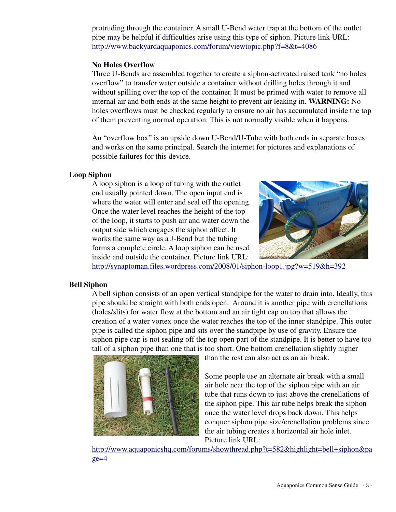protruding through the container. A small U-Bend water trap at the bottom of the outlet pipe may be helpful if difficulties arise using this type of siphon. Picture link URL: http://www.backyardaquaponics.com/forum/viewtopic.php?f=8&t=4086

#### **No Holes Overflow**

Three U-Bends are assembled together to create a siphon-activated raised tank "no holes overflow" to transfer water outside a container without drilling holes through it and without spilling over the top of the container. It must be primed with water to remove all internal air and both ends at the same height to prevent air leaking in. **WARNING:** No holes overflows must be checked regularly to ensure no air has accumulated inside the top of them preventing normal operation. This is not normally visible when it happens.

An "overflow box" is an upside down U-Bend/U-Tube with both ends in separate boxes and works on the same principal. Search the internet for pictures and explanations of possible failures for this device.

#### **Loop Siphon**

A loop siphon is a loop of tubing with the outlet end usually pointed down. The open input end is where the water will enter and seal off the opening. Once the water level reaches the height of the top of the loop, it starts to push air and water down the output side which engages the siphon affect. It works the same way as a J-Bend but the tubing forms a complete circle. A loop siphon can be used inside and outside the container. Picture link URL:



http://synaptoman.files.wordpress.com/2008/01/siphon-loop1.jpg?w=519&h=392

#### **Bell Siphon**

A bell siphon consists of an open vertical standpipe for the water to drain into. Ideally, this pipe should be straight with both ends open. Around it is another pipe with crenellations (holes/slits) for water flow at the bottom and an air tight cap on top that allows the creation of a water vortex once the water reaches the top of the inner standpipe. This outer pipe is called the siphon pipe and sits over the standpipe by use of gravity. Ensure the siphon pipe cap is not sealing off the top open part of the standpipe. It is better to have too tall of a siphon pipe than one that is too short. One bottom crenellation slightly higher



than the rest can also act as an air break.

Some people use an alternate air break with a small air hole near the top of the siphon pipe with an air tube that runs down to just above the crenellations of the siphon pipe. This air tube helps break the siphon once the water level drops back down. This helps conquer siphon pipe size/crenellation problems since the air tubing creates a horizontal air hole inlet. Picture link URL:

http://www.aquaponicshq.com/forums/showthread.php?t=582&highlight=bell+siphon&pa  $ge=4$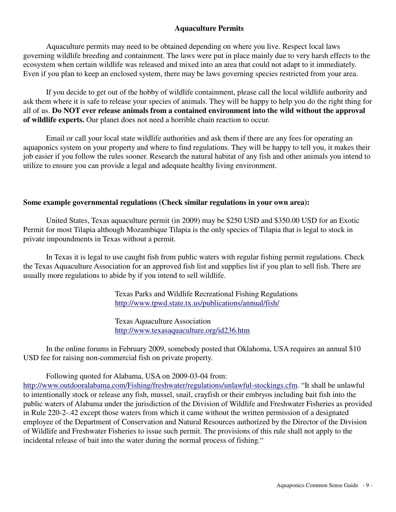## **Aquaculture Permits**

Aquaculture permits may need to be obtained depending on where you live. Respect local laws governing wildlife breeding and containment. The laws were put in place mainly due to very harsh effects to the ecosystem when certain wildlife was released and mixed into an area that could not adapt to it immediately. Even if you plan to keep an enclosed system, there may be laws governing species restricted from your area.

 If you decide to get out of the hobby of wildlife containment, please call the local wildlife authority and ask them where it is safe to release your species of animals. They will be happy to help you do the right thing for all of us. **Do NOT ever release animals from a contained environment into the wild without the approval of wildlife experts.** Our planet does not need a horrible chain reaction to occur.

 Email or call your local state wildlife authorities and ask them if there are any fees for operating an aquaponics system on your property and where to find regulations. They will be happy to tell you, it makes their job easier if you follow the rules sooner. Research the natural habitat of any fish and other animals you intend to utilize to ensure you can provide a legal and adequate healthy living environment.

#### **Some example governmental regulations (Check similar regulations in your own area):**

 United States, Texas aquaculture permit (in 2009) may be \$250 USD and \$350.00 USD for an Exotic Permit for most Tilapia although Mozambique Tilapia is the only species of Tilapia that is legal to stock in private impoundments in Texas without a permit.

 In Texas it is legal to use caught fish from public waters with regular fishing permit regulations. Check the Texas Aquaculture Association for an approved fish list and supplies list if you plan to sell fish. There are usually more regulations to abide by if you intend to sell wildlife.

> Texas Parks and Wildlife Recreational Fishing Regulations http://www.tpwd.state.tx.us/publications/annual/fish/

Texas Aquaculture Association http://www.texasaquaculture.org/id236.htm

 In the online forums in February 2009, somebody posted that Oklahoma, USA requires an annual \$10 USD fee for raising non-commercial fish on private property.

Following quoted for Alabama, USA on 2009-03-04 from:

http://www.outdooralabama.com/Fishing/freshwater/regulations/unlawful-stockings.cfm. "It shall be unlawful to intentionally stock or release any fish, mussel, snail, crayfish or their embryos including bait fish into the public waters of Alabama under the jurisdiction of the Division of Wildlife and Freshwater Fisheries as provided in Rule 220-2-.42 except those waters from which it came without the written permission of a designated employee of the Department of Conservation and Natural Resources authorized by the Director of the Division of Wildlife and Freshwater Fisheries to issue such permit. The provisions of this rule shall not apply to the incidental release of bait into the water during the normal process of fishing."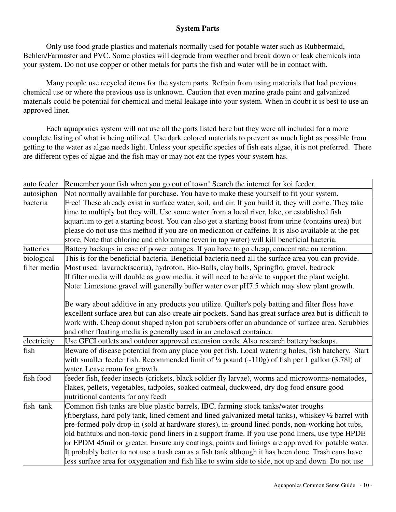## **System Parts**

 Only use food grade plastics and materials normally used for potable water such as Rubbermaid, Behlen/Farmaster and PVC. Some plastics will degrade from weather and break down or leak chemicals into your system. Do not use copper or other metals for parts the fish and water will be in contact with.

 Many people use recycled items for the system parts. Refrain from using materials that had previous chemical use or where the previous use is unknown. Caution that even marine grade paint and galvanized materials could be potential for chemical and metal leakage into your system. When in doubt it is best to use an approved liner.

 Each aquaponics system will not use all the parts listed here but they were all included for a more complete listing of what is being utilized. Use dark colored materials to prevent as much light as possible from getting to the water as algae needs light. Unless your specific species of fish eats algae, it is not preferred. There are different types of algae and the fish may or may not eat the types your system has.

| auto feeder  | Remember your fish when you go out of town! Search the internet for koi feeder.                            |
|--------------|------------------------------------------------------------------------------------------------------------|
| autosiphon   | Not normally available for purchase. You have to make these yourself to fit your system.                   |
| bacteria     | Free! These already exist in surface water, soil, and air. If you build it, they will come. They take      |
|              | time to multiply but they will. Use some water from a local river, lake, or established fish               |
|              | aquarium to get a starting boost. You can also get a starting boost from urine (contains urea) but         |
|              | please do not use this method if you are on medication or caffeine. It is also available at the pet        |
|              | store. Note that chlorine and chloramine (even in tap water) will kill beneficial bacteria.                |
| batteries    | Battery backups in case of power outages. If you have to go cheap, concentrate on aeration.                |
| biological   | This is for the beneficial bacteria. Beneficial bacteria need all the surface area you can provide.        |
| filter media | Most used: lavarock(scoria), hydroton, Bio-Balls, clay balls, Springflo, gravel, bedrock                   |
|              | If filter media will double as grow media, it will need to be able to support the plant weight.            |
|              | Note: Limestone gravel will generally buffer water over pH7.5 which may slow plant growth.                 |
|              |                                                                                                            |
|              | Be wary about additive in any products you utilize. Quilter's poly batting and filter floss have           |
|              | excellent surface area but can also create air pockets. Sand has great surface area but is difficult to    |
|              | work with. Cheap donut shaped nylon pot scrubbers offer an abundance of surface area. Scrubbies            |
|              | and other floating media is generally used in an enclosed container.                                       |
| electricity  | Use GFCI outlets and outdoor approved extension cords. Also research battery backups.                      |
| fish         | Beware of disease potential from any place you get fish. Local watering holes, fish hatchery. Start        |
|              | with smaller feeder fish. Recommended limit of $\frac{1}{4}$ pound (~110g) of fish per 1 gallon (3.781) of |
|              | water. Leave room for growth.                                                                              |
| fish food    | feeder fish, feeder insects (crickets, black soldier fly larvae), worms and microworms-nematodes,          |
|              | flakes, pellets, vegetables, tadpoles, soaked oatmeal, duckweed, dry dog food ensure good                  |
|              | nutritional contents for any feed)                                                                         |
| fish tank    | Common fish tanks are blue plastic barrels, IBC, farming stock tanks/water troughs                         |
|              | (fiberglass, hard poly tank, lined cement and lined galvanized metal tanks), whiskey 1/2 barrel with       |
|              | pre-formed poly drop-in (sold at hardware stores), in-ground lined ponds, non-working hot tubs,            |
|              | old bathtubs and non-toxic pond liners in a support frame. If you use pond liners, use type HPDE           |
|              | or EPDM 45mil or greater. Ensure any coatings, paints and linings are approved for potable water.          |
|              | It probably better to not use a trash can as a fish tank although it has been done. Trash cans have        |
|              | less surface area for oxygenation and fish like to swim side to side, not up and down. Do not use          |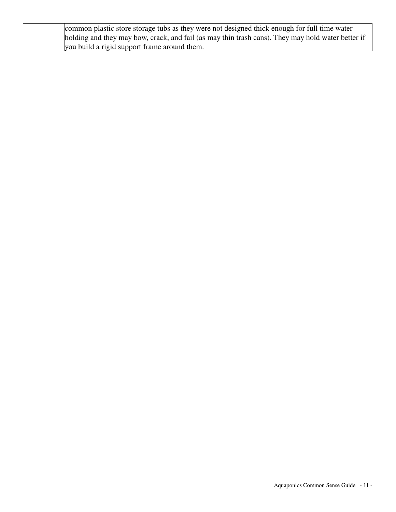common plastic store storage tubs as they were not designed thick enough for full time water holding and they may bow, crack, and fail (as may thin trash cans). They may hold water better if you build a rigid support frame around them.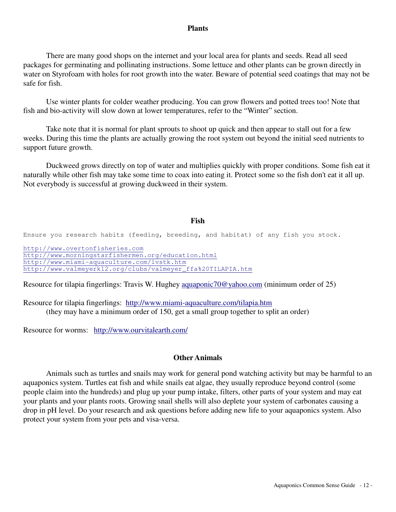#### **Plants**

 There are many good shops on the internet and your local area for plants and seeds. Read all seed packages for germinating and pollinating instructions. Some lettuce and other plants can be grown directly in water on Styrofoam with holes for root growth into the water. Beware of potential seed coatings that may not be safe for fish.

 Use winter plants for colder weather producing. You can grow flowers and potted trees too! Note that fish and bio-activity will slow down at lower temperatures, refer to the "Winter" section.

 Take note that it is normal for plant sprouts to shoot up quick and then appear to stall out for a few weeks. During this time the plants are actually growing the root system out beyond the initial seed nutrients to support future growth.

 Duckweed grows directly on top of water and multiplies quickly with proper conditions. Some fish eat it naturally while other fish may take some time to coax into eating it. Protect some so the fish don't eat it all up. Not everybody is successful at growing duckweed in their system.

#### **Fish**

Ensure you research habits (feeding, breeding, and habitat) of any fish you stock.

http://www.overtonfisheries.com http://www.morningstarfishermen.org/education.html http://www.miami-aquaculture.com/lvstk.htm http://www.valmeyerk12.org/clubs/valmeyer\_ffa%20TILAPIA.htm

Resource for tilapia fingerlings: Travis W. Hughey aquaponic70@yahoo.com (minimum order of 25)

Resource for tilapia fingerlings: http://www.miami-aquaculture.com/tilapia.htm (they may have a minimum order of 150, get a small group together to split an order)

Resource for worms: http://www.ourvitalearth.com/

#### **Other Animals**

 Animals such as turtles and snails may work for general pond watching activity but may be harmful to an aquaponics system. Turtles eat fish and while snails eat algae, they usually reproduce beyond control (some people claim into the hundreds) and plug up your pump intake, filters, other parts of your system and may eat your plants and your plants roots. Growing snail shells will also deplete your system of carbonates causing a drop in pH level. Do your research and ask questions before adding new life to your aquaponics system. Also protect your system from your pets and visa-versa.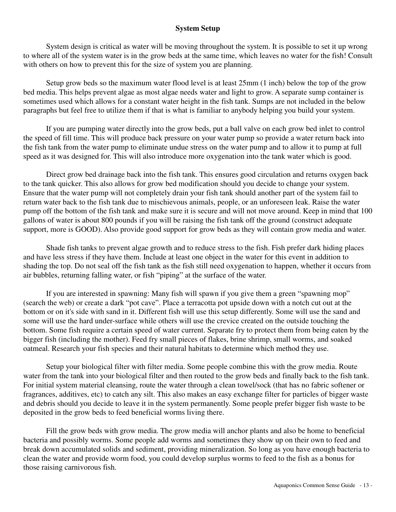#### **System Setup**

 System design is critical as water will be moving throughout the system. It is possible to set it up wrong to where all of the system water is in the grow beds at the same time, which leaves no water for the fish! Consult with others on how to prevent this for the size of system you are planning.

 Setup grow beds so the maximum water flood level is at least 25mm (1 inch) below the top of the grow bed media. This helps prevent algae as most algae needs water and light to grow. A separate sump container is sometimes used which allows for a constant water height in the fish tank. Sumps are not included in the below paragraphs but feel free to utilize them if that is what is familiar to anybody helping you build your system.

 If you are pumping water directly into the grow beds, put a ball valve on each grow bed inlet to control the speed of fill time. This will produce back pressure on your water pump so provide a water return back into the fish tank from the water pump to eliminate undue stress on the water pump and to allow it to pump at full speed as it was designed for. This will also introduce more oxygenation into the tank water which is good.

 Direct grow bed drainage back into the fish tank. This ensures good circulation and returns oxygen back to the tank quicker. This also allows for grow bed modification should you decide to change your system. Ensure that the water pump will not completely drain your fish tank should another part of the system fail to return water back to the fish tank due to mischievous animals, people, or an unforeseen leak. Raise the water pump off the bottom of the fish tank and make sure it is secure and will not move around. Keep in mind that 100 gallons of water is about 800 pounds if you will be raising the fish tank off the ground (construct adequate support, more is GOOD). Also provide good support for grow beds as they will contain grow media and water.

 Shade fish tanks to prevent algae growth and to reduce stress to the fish. Fish prefer dark hiding places and have less stress if they have them. Include at least one object in the water for this event in addition to shading the top. Do not seal off the fish tank as the fish still need oxygenation to happen, whether it occurs from air bubbles, returning falling water, or fish "piping" at the surface of the water.

 If you are interested in spawning: Many fish will spawn if you give them a green "spawning mop" (search the web) or create a dark "pot cave". Place a terracotta pot upside down with a notch cut out at the bottom or on it's side with sand in it. Different fish will use this setup differently. Some will use the sand and some will use the hard under-surface while others will use the crevice created on the outside touching the bottom. Some fish require a certain speed of water current. Separate fry to protect them from being eaten by the bigger fish (including the mother). Feed fry small pieces of flakes, brine shrimp, small worms, and soaked oatmeal. Research your fish species and their natural habitats to determine which method they use.

 Setup your biological filter with filter media. Some people combine this with the grow media. Route water from the tank into your biological filter and then routed to the grow beds and finally back to the fish tank. For initial system material cleansing, route the water through a clean towel/sock (that has no fabric softener or fragrances, additives, etc) to catch any silt. This also makes an easy exchange filter for particles of bigger waste and debris should you decide to leave it in the system permanently. Some people prefer bigger fish waste to be deposited in the grow beds to feed beneficial worms living there.

 Fill the grow beds with grow media. The grow media will anchor plants and also be home to beneficial bacteria and possibly worms. Some people add worms and sometimes they show up on their own to feed and break down accumulated solids and sediment, providing mineralization. So long as you have enough bacteria to clean the water and provide worm food, you could develop surplus worms to feed to the fish as a bonus for those raising carnivorous fish.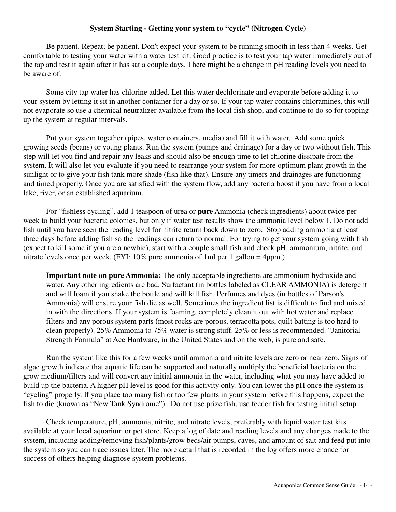#### **System Starting - Getting your system to "cycle" (Nitrogen Cycle)**

 Be patient. Repeat; be patient. Don't expect your system to be running smooth in less than 4 weeks. Get comfortable to testing your water with a water test kit. Good practice is to test your tap water immediately out of the tap and test it again after it has sat a couple days. There might be a change in pH reading levels you need to be aware of.

 Some city tap water has chlorine added. Let this water dechlorinate and evaporate before adding it to your system by letting it sit in another container for a day or so. If your tap water contains chloramines, this will not evaporate so use a chemical neutralizer available from the local fish shop, and continue to do so for topping up the system at regular intervals.

 Put your system together (pipes, water containers, media) and fill it with water. Add some quick growing seeds (beans) or young plants. Run the system (pumps and drainage) for a day or two without fish. This step will let you find and repair any leaks and should also be enough time to let chlorine dissipate from the system. It will also let you evaluate if you need to rearrange your system for more optimum plant growth in the sunlight or to give your fish tank more shade (fish like that). Ensure any timers and drainages are functioning and timed properly. Once you are satisfied with the system flow, add any bacteria boost if you have from a local lake, river, or an established aquarium.

 For "fishless cycling", add 1 teaspoon of urea or **pure** Ammonia (check ingredients) about twice per week to build your bacteria colonies, but only if water test results show the ammonia level below 1. Do not add fish until you have seen the reading level for nitrite return back down to zero. Stop adding ammonia at least three days before adding fish so the readings can return to normal. For trying to get your system going with fish (expect to kill some if you are a newbie), start with a couple small fish and check pH, ammonium, nitrite, and nitrate levels once per week. (FYI:  $10\%$  pure ammonia of 1ml per 1 gallon = 4ppm.)

**Important note on pure Ammonia:** The only acceptable ingredients are ammonium hydroxide and water. Any other ingredients are bad. Surfactant (in bottles labeled as CLEAR AMMONIA) is detergent and will foam if you shake the bottle and will kill fish. Perfumes and dyes (in bottles of Parson's Ammonia) will ensure your fish die as well. Sometimes the ingredient list is difficult to find and mixed in with the directions. If your system is foaming, completely clean it out with hot water and replace filters and any porous system parts (most rocks are porous, terracotta pots, quilt batting is too hard to clean properly). 25% Ammonia to 75% water is strong stuff. 25% or less is recommended. "Janitorial Strength Formula" at Ace Hardware, in the United States and on the web, is pure and safe.

 Run the system like this for a few weeks until ammonia and nitrite levels are zero or near zero. Signs of algae growth indicate that aquatic life can be supported and naturally multiply the beneficial bacteria on the grow medium/filters and will convert any initial ammonia in the water, including what you may have added to build up the bacteria. A higher pH level is good for this activity only. You can lower the pH once the system is "cycling" properly. If you place too many fish or too few plants in your system before this happens, expect the fish to die (known as "New Tank Syndrome"). Do not use prize fish, use feeder fish for testing initial setup.

 Check temperature, pH, ammonia, nitrite, and nitrate levels, preferably with liquid water test kits available at your local aquarium or pet store. Keep a log of date and reading levels and any changes made to the system, including adding/removing fish/plants/grow beds/air pumps, caves, and amount of salt and feed put into the system so you can trace issues later. The more detail that is recorded in the log offers more chance for success of others helping diagnose system problems.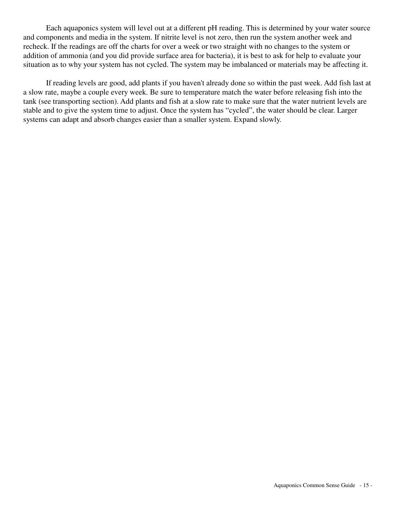Each aquaponics system will level out at a different pH reading. This is determined by your water source and components and media in the system. If nitrite level is not zero, then run the system another week and recheck. If the readings are off the charts for over a week or two straight with no changes to the system or addition of ammonia (and you did provide surface area for bacteria), it is best to ask for help to evaluate your situation as to why your system has not cycled. The system may be imbalanced or materials may be affecting it.

 If reading levels are good, add plants if you haven't already done so within the past week. Add fish last at a slow rate, maybe a couple every week. Be sure to temperature match the water before releasing fish into the tank (see transporting section). Add plants and fish at a slow rate to make sure that the water nutrient levels are stable and to give the system time to adjust. Once the system has "cycled", the water should be clear. Larger systems can adapt and absorb changes easier than a smaller system. Expand slowly.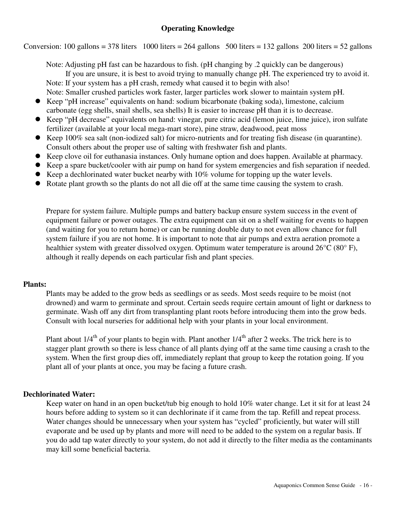## **Operating Knowledge**

Conversion: 100 gallons = 378 liters 1000 liters = 264 gallons 500 liters = 132 gallons 200 liters = 52 gallons

 Note: Adjusting pH fast can be hazardous to fish. (pH changing by .2 quickly can be dangerous) If you are unsure, it is best to avoid trying to manually change pH. The experienced try to avoid it. Note: If your system has a pH crash, remedy what caused it to begin with also! Note: Smaller crushed particles work faster, larger particles work slower to maintain system pH.

- Keep "pH increase" equivalents on hand: sodium bicarbonate (baking soda), limestone, calcium carbonate (egg shells, snail shells, sea shells) It is easier to increase pH than it is to decrease.
- Keep "pH decrease" equivalents on hand: vinegar, pure citric acid (lemon juice, lime juice), iron sulfate fertilizer (available at your local mega-mart store), pine straw, deadwood, peat moss
- Keep 100% sea salt (non-iodized salt) for micro-nutrients and for treating fish disease (in quarantine). Consult others about the proper use of salting with freshwater fish and plants.
- Keep clove oil for euthanasia instances. Only humane option and does happen. Available at pharmacy.
- Keep a spare bucket/cooler with air pump on hand for system emergencies and fish separation if needed.
- Keep a dechlorinated water bucket nearby with 10% volume for topping up the water levels.
- Rotate plant growth so the plants do not all die off at the same time causing the system to crash.

Prepare for system failure. Multiple pumps and battery backup ensure system success in the event of equipment failure or power outages. The extra equipment can sit on a shelf waiting for events to happen (and waiting for you to return home) or can be running double duty to not even allow chance for full system failure if you are not home. It is important to note that air pumps and extra aeration promote a healthier system with greater dissolved oxygen. Optimum water temperature is around 26°C (80°F), although it really depends on each particular fish and plant species.

## **Plants:**

Plants may be added to the grow beds as seedlings or as seeds. Most seeds require to be moist (not drowned) and warm to germinate and sprout. Certain seeds require certain amount of light or darkness to germinate. Wash off any dirt from transplanting plant roots before introducing them into the grow beds. Consult with local nurseries for additional help with your plants in your local environment.

Plant about  $1/4<sup>th</sup>$  of your plants to begin with. Plant another  $1/4<sup>th</sup>$  after 2 weeks. The trick here is to stagger plant growth so there is less chance of all plants dying off at the same time causing a crash to the system. When the first group dies off, immediately replant that group to keep the rotation going. If you plant all of your plants at once, you may be facing a future crash.

## **Dechlorinated Water:**

Keep water on hand in an open bucket/tub big enough to hold 10% water change. Let it sit for at least 24 hours before adding to system so it can dechlorinate if it came from the tap. Refill and repeat process. Water changes should be unnecessary when your system has "cycled" proficiently, but water will still evaporate and be used up by plants and more will need to be added to the system on a regular basis. If you do add tap water directly to your system, do not add it directly to the filter media as the contaminants may kill some beneficial bacteria.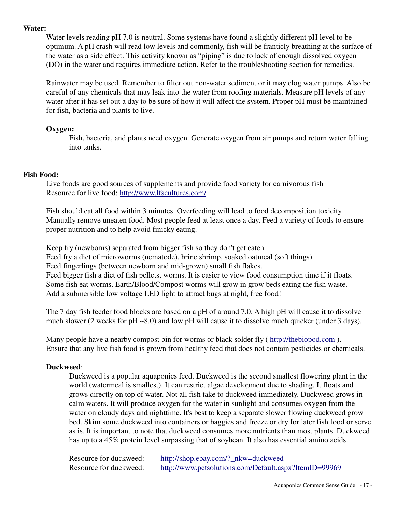#### **Water:**

Water levels reading pH 7.0 is neutral. Some systems have found a slightly different pH level to be optimum. A pH crash will read low levels and commonly, fish will be franticly breathing at the surface of the water as a side effect. This activity known as "piping" is due to lack of enough dissolved oxygen (DO) in the water and requires immediate action. Refer to the troubleshooting section for remedies.

Rainwater may be used. Remember to filter out non-water sediment or it may clog water pumps. Also be careful of any chemicals that may leak into the water from roofing materials. Measure pH levels of any water after it has set out a day to be sure of how it will affect the system. Proper pH must be maintained for fish, bacteria and plants to live.

#### **Oxygen:**

Fish, bacteria, and plants need oxygen. Generate oxygen from air pumps and return water falling into tanks.

#### **Fish Food:**

Live foods are good sources of supplements and provide food variety for carnivorous fish Resource for live food: http://www.lfscultures.com/

Fish should eat all food within 3 minutes. Overfeeding will lead to food decomposition toxicity. Manually remove uneaten food. Most people feed at least once a day. Feed a variety of foods to ensure proper nutrition and to help avoid finicky eating.

 Keep fry (newborns) separated from bigger fish so they don't get eaten. Feed fry a diet of microworms (nematode), brine shrimp, soaked oatmeal (soft things). Feed fingerlings (between newborn and mid-grown) small fish flakes. Feed bigger fish a diet of fish pellets, worms. It is easier to view food consumption time if it floats. Some fish eat worms. Earth/Blood/Compost worms will grow in grow beds eating the fish waste. Add a submersible low voltage LED light to attract bugs at night, free food!

The 7 day fish feeder food blocks are based on a pH of around 7.0. A high pH will cause it to dissolve much slower (2 weeks for pH ~8.0) and low pH will cause it to dissolve much quicker (under 3 days).

Many people have a nearby compost bin for worms or black solder fly ( http://thebiopod.com ). Ensure that any live fish food is grown from healthy feed that does not contain pesticides or chemicals.

## **Duckweed**:

Duckweed is a popular aquaponics feed. Duckweed is the second smallest flowering plant in the world (watermeal is smallest). It can restrict algae development due to shading. It floats and grows directly on top of water. Not all fish take to duckweed immediately. Duckweed grows in calm waters. It will produce oxygen for the water in sunlight and consumes oxygen from the water on cloudy days and nighttime. It's best to keep a separate slower flowing duckweed grow bed. Skim some duckweed into containers or baggies and freeze or dry for later fish food or serve as is. It is important to note that duckweed consumes more nutrients than most plants. Duckweed has up to a 45% protein level surpassing that of soybean. It also has essential amino acids.

Resource for duckweed: http://shop.ebay.com/?\_nkw=duckweed Resource for duckweed: http://www.petsolutions.com/Default.aspx?ItemID=99969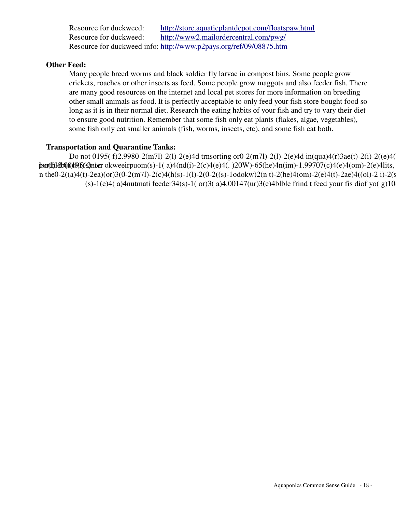source for duckweed: http://store.aquaticplantdepot.com/floatspaw.html source for duckweed: http://www2.mailordercentral.com/pwg/ source for duckweed info: http://www.p2pays.org/ref/09/08875.htm

 $\mathbf{d}$ :

ny people breed worms and black soldier fly larvae in compost bins. Some people grow ckets, roaches or other insects as feed. Some people grow maggots and also feeder fish. There many good resources on the internet and local pet stores for more information on breeding er small animals as food. It is perfectly acceptable to only feed your fish store bought food so  $\alpha$  as it is in their normal diet. Research the eating habits of your fish and try to vary their diet ensure good nutrition. Remember that some fish only eat plants (flakes, algae, vegetables), ne fish only eat smaller animals (fish, worms, insects, etc), and some fish eat both.

## **ation and Quarantine Tanks:**

not 0195(f)2.9980-2(m7l)-2(l)-2(e)4d trnsorting or0-2(m7l)-2(l)-2(e)4d in(qua)4(r)3ae(t)-2(i)-2((e)4( (t)-2nter okweeirpuom(s)-1( a)4(nd(i)-2(c)4(e)4(. )20W)-65(he)4n(im)-1.99707(c)4(e)4(om)-2(e)4lits,  $(t)$ -2ea)(or)3(0-2(m7l)-2(c)4(h(s)-1(l)-2(0-2((s)-1odokw)2(n t)-2(he)4(om)-2(e)4(t)-2ae)4((ol)-2 i)-2(s (s)-1(e)4( a)4nutmati feeder34(s)-1( or)3( a)4.00147(ur)3(e)4blble frind t feed your fis diof yo( g)10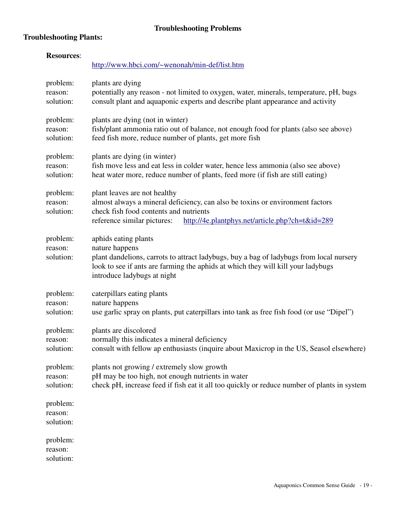## **Troubleshooting Plants:**

| <b>Resources:</b>                | http://www.hbci.com/~wenonah/min-def/list.htm                                                                                                                                                                                                        |
|----------------------------------|------------------------------------------------------------------------------------------------------------------------------------------------------------------------------------------------------------------------------------------------------|
| problem:<br>reason:<br>solution: | plants are dying<br>potentially any reason - not limited to oxygen, water, minerals, temperature, pH, bugs<br>consult plant and aquaponic experts and describe plant appearance and activity                                                         |
| problem:<br>reason:<br>solution: | plants are dying (not in winter)<br>fish/plant ammonia ratio out of balance, not enough food for plants (also see above)<br>feed fish more, reduce number of plants, get more fish                                                                   |
| problem:<br>reason:<br>solution: | plants are dying (in winter)<br>fish move less and eat less in colder water, hence less ammonia (also see above)<br>heat water more, reduce number of plants, feed more (if fish are still eating)                                                   |
| problem:<br>reason:<br>solution: | plant leaves are not healthy<br>almost always a mineral deficiency, can also be toxins or environment factors<br>check fish food contents and nutrients<br>reference similar pictures:<br>http://4e.plantphys.net/article.php?ch=t&id=289            |
| problem:<br>reason:<br>solution: | aphids eating plants<br>nature happens<br>plant dandelions, carrots to attract ladybugs, buy a bag of ladybugs from local nursery<br>look to see if ants are farming the aphids at which they will kill your ladybugs<br>introduce ladybugs at night |
| problem:<br>reason:<br>solution: | caterpillars eating plants<br>nature happens<br>use garlic spray on plants, put caterpillars into tank as free fish food (or use "Dipel")                                                                                                            |
| problem:<br>reason:<br>solution: | plants are discolored<br>normally this indicates a mineral deficiency<br>consult with fellow ap enthusiasts (inquire about Maxicrop in the US, Seasol elsewhere)                                                                                     |
| problem:<br>reason:<br>solution: | plants not growing / extremely slow growth<br>pH may be too high, not enough nutrients in water<br>check pH, increase feed if fish eat it all too quickly or reduce number of plants in system                                                       |
| problem:<br>reason:<br>solution: |                                                                                                                                                                                                                                                      |
| problem:<br>reason:<br>solution: |                                                                                                                                                                                                                                                      |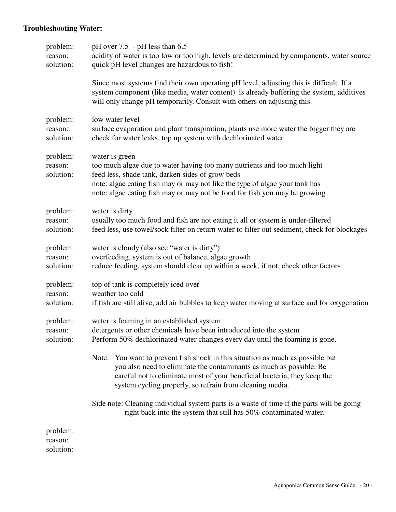## **Troubleshooting Water:**

| problem:<br>reason:<br>solution: | pH over 7.5 - pH less than 6.5<br>acidity of water is too low or too high, levels are determined by components, water source<br>quick pH level changes are hazardous to fish!                                                                                                                               |
|----------------------------------|-------------------------------------------------------------------------------------------------------------------------------------------------------------------------------------------------------------------------------------------------------------------------------------------------------------|
|                                  | Since most systems find their own operating pH level, adjusting this is difficult. If a<br>system component (like media, water content) is already buffering the system, additives<br>will only change pH temporarily. Consult with others on adjusting this.                                               |
| problem:<br>reason:<br>solution: | low water level<br>surface evaporation and plant transpiration, plants use more water the bigger they are<br>check for water leaks, top up system with dechlorinated water                                                                                                                                  |
| problem:<br>reason:<br>solution: | water is green<br>too much algae due to water having too many nutrients and too much light<br>feed less, shade tank, darken sides of grow beds<br>note: algae eating fish may or may not like the type of algae your tank has<br>note: algae eating fish may or may not be food for fish you may be growing |
| problem:<br>reason:<br>solution: | water is dirty<br>usually too much food and fish are not eating it all or system is under-filtered<br>feed less, use towel/sock filter on return water to filter out sediment, check for blockages                                                                                                          |
| problem:<br>reason:<br>solution: | water is cloudy (also see "water is dirty")<br>overfeeding, system is out of balance, algae growth<br>reduce feeding, system should clear up within a week, if not, check other factors                                                                                                                     |
| problem:<br>reason:<br>solution: | top of tank is completely iced over<br>weather too cold<br>if fish are still alive, add air bubbles to keep water moving at surface and for oxygenation                                                                                                                                                     |
| problem:<br>reason:<br>solution: | water is foaming in an established system<br>detergents or other chemicals have been introduced into the system<br>Perform 50% dechlorinated water changes every day until the foaming is gone.                                                                                                             |
|                                  | Note: You want to prevent fish shock in this situation as much as possible but<br>you also need to eliminate the contaminants as much as possible. Be<br>careful not to eliminate most of your beneficial bacteria, they keep the<br>system cycling properly, so refrain from cleaning media.               |
|                                  | Side note: Cleaning individual system parts is a waste of time if the parts will be going<br>right back into the system that still has 50% contaminated water.                                                                                                                                              |
| problem:<br>reason:<br>solution: |                                                                                                                                                                                                                                                                                                             |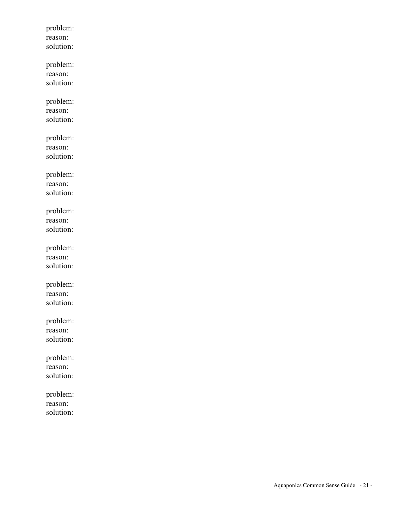problem: reason: solution: problem: reason: solution: problem: reason: solution: problem: reason: solution: problem: reason: solution: problem: reason: solution: problem: reason: solution: problem: reason: solution: problem: reason: solution: problem: reason: solution: problem: reason: solution: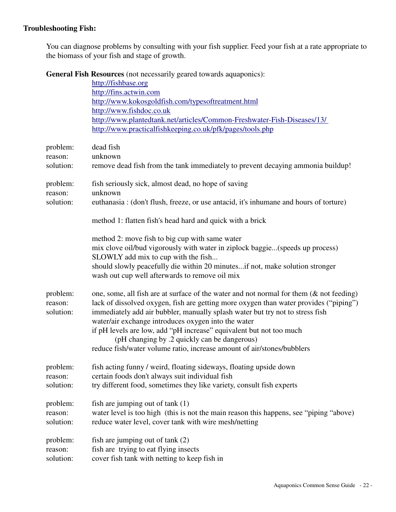## **Troubleshooting Fish:**

You can diagnose problems by consulting with your fish supplier. Feed your fish at a rate appropriate to the biomass of your fish and stage of growth.

**General Fish Resources** (not necessarily geared towards aquaponics):

|                                  | http://fishbase.org<br>http://fins.actwin.com<br>http://www.kokosgoldfish.com/typesoftreatment.html<br>http://www.fishdoc.co.uk<br>http://www.plantedtank.net/articles/Common-Freshwater-Fish-Diseases/13/<br>http://www.practicalfishkeeping.co.uk/pfk/pages/tools.php                                                                                                                                                                                                                                                      |
|----------------------------------|------------------------------------------------------------------------------------------------------------------------------------------------------------------------------------------------------------------------------------------------------------------------------------------------------------------------------------------------------------------------------------------------------------------------------------------------------------------------------------------------------------------------------|
| problem:<br>reason:<br>solution: | dead fish<br>unknown<br>remove dead fish from the tank immediately to prevent decaying ammonia buildup!                                                                                                                                                                                                                                                                                                                                                                                                                      |
| problem:<br>reason:<br>solution: | fish seriously sick, almost dead, no hope of saving<br>unknown<br>euthanasia : (don't flush, freeze, or use antacid, it's inhumane and hours of torture)                                                                                                                                                                                                                                                                                                                                                                     |
|                                  | method 1: flatten fish's head hard and quick with a brick<br>method 2: move fish to big cup with same water<br>mix clove oil/bud vigorously with water in ziplock baggie(speeds up process)<br>SLOWLY add mix to cup with the fish<br>should slowly peacefully die within 20 minutesif not, make solution stronger<br>wash out cup well afterwards to remove oil mix                                                                                                                                                         |
| problem:<br>reason:<br>solution: | one, some, all fish are at surface of the water and not normal for them $(\&$ not feeding)<br>lack of dissolved oxygen, fish are getting more oxygen than water provides ("piping")<br>immediately add air bubbler, manually splash water but try not to stress fish<br>water/air exchange introduces oxygen into the water<br>if pH levels are low, add "pH increase" equivalent but not too much<br>(pH changing by .2 quickly can be dangerous)<br>reduce fish/water volume ratio, increase amount of air/stones/bubblers |
| problem:<br>reason:<br>solution: | fish acting funny / weird, floating sideways, floating upside down<br>certain foods don't always suit individual fish<br>try different food, sometimes they like variety, consult fish experts                                                                                                                                                                                                                                                                                                                               |
| problem:<br>reason:<br>solution: | fish are jumping out of tank $(1)$<br>water level is too high (this is not the main reason this happens, see "piping "above)<br>reduce water level, cover tank with wire mesh/netting                                                                                                                                                                                                                                                                                                                                        |
| problem:<br>reason:<br>solution: | fish are jumping out of $tank(2)$<br>fish are trying to eat flying insects<br>cover fish tank with netting to keep fish in                                                                                                                                                                                                                                                                                                                                                                                                   |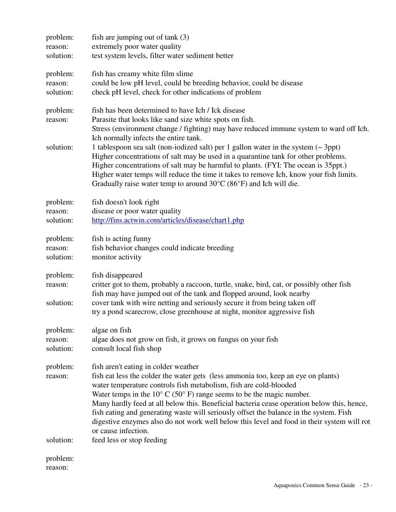| problem:<br>reason:<br>solution: | fish are jumping out of $tank(3)$<br>extremely poor water quality<br>test system levels, filter water sediment better                                                                                                                                                                                                                                                                                                                                                                           |
|----------------------------------|-------------------------------------------------------------------------------------------------------------------------------------------------------------------------------------------------------------------------------------------------------------------------------------------------------------------------------------------------------------------------------------------------------------------------------------------------------------------------------------------------|
| problem:<br>reason:<br>solution: | fish has creamy white film slime<br>could be low pH level, could be breeding behavior, could be disease<br>check pH level, check for other indications of problem                                                                                                                                                                                                                                                                                                                               |
| problem:<br>reason:              | fish has been determined to have Ich / Ick disease<br>Parasite that looks like sand size white spots on fish.<br>Stress (environment change / fighting) may have reduced immune system to ward off Ich.                                                                                                                                                                                                                                                                                         |
| solution:                        | Ich normally infects the entire tank.<br>1 tablespoon sea salt (non-iodized salt) per 1 gallon water in the system $($ - 3ppt)<br>Higher concentrations of salt may be used in a quarantine tank for other problems.<br>Higher concentrations of salt may be harmful to plants. (FYI: The ocean is 35ppt.)<br>Higher water temps will reduce the time it takes to remove Ich, know your fish limits.<br>Gradually raise water temp to around $30^{\circ}$ C (86 $^{\circ}$ F) and Ich will die. |
| problem:                         | fish doesn't look right                                                                                                                                                                                                                                                                                                                                                                                                                                                                         |
| reason:                          | disease or poor water quality                                                                                                                                                                                                                                                                                                                                                                                                                                                                   |
| solution:                        | http://fins.actwin.com/articles/disease/chart1.php                                                                                                                                                                                                                                                                                                                                                                                                                                              |
| problem:                         | fish is acting funny                                                                                                                                                                                                                                                                                                                                                                                                                                                                            |
| reason:                          | fish behavior changes could indicate breeding                                                                                                                                                                                                                                                                                                                                                                                                                                                   |
| solution:                        | monitor activity                                                                                                                                                                                                                                                                                                                                                                                                                                                                                |
| problem:                         | fish disappeared                                                                                                                                                                                                                                                                                                                                                                                                                                                                                |
| reason:                          | critter got to them, probably a raccoon, turtle, snake, bird, cat, or possibly other fish                                                                                                                                                                                                                                                                                                                                                                                                       |
|                                  | fish may have jumped out of the tank and flopped around, look nearby                                                                                                                                                                                                                                                                                                                                                                                                                            |
| solution:                        | cover tank with wire netting and seriously secure it from being taken off<br>try a pond scarecrow, close greenhouse at night, monitor aggressive fish                                                                                                                                                                                                                                                                                                                                           |
| problem:                         | algae on fish                                                                                                                                                                                                                                                                                                                                                                                                                                                                                   |
| reason:                          | algae does not grow on fish, it grows on fungus on your fish                                                                                                                                                                                                                                                                                                                                                                                                                                    |
| solution:                        | consult local fish shop                                                                                                                                                                                                                                                                                                                                                                                                                                                                         |
| problem:                         | fish aren't eating in colder weather                                                                                                                                                                                                                                                                                                                                                                                                                                                            |
| reason:                          | fish eat less the colder the water gets (less ammonia too, keep an eye on plants)                                                                                                                                                                                                                                                                                                                                                                                                               |
|                                  | water temperature controls fish metabolism, fish are cold-blooded                                                                                                                                                                                                                                                                                                                                                                                                                               |
|                                  | Water temps in the $10^{\circ}$ C (50° F) range seems to be the magic number.<br>Many hardly feed at all below this. Beneficial bacteria cease operation below this, hence,                                                                                                                                                                                                                                                                                                                     |
|                                  | fish eating and generating waste will seriously offset the balance in the system. Fish<br>digestive enzymes also do not work well below this level and food in their system will rot<br>or cause infection.                                                                                                                                                                                                                                                                                     |
| solution:                        | feed less or stop feeding                                                                                                                                                                                                                                                                                                                                                                                                                                                                       |
| problem:                         |                                                                                                                                                                                                                                                                                                                                                                                                                                                                                                 |
|                                  |                                                                                                                                                                                                                                                                                                                                                                                                                                                                                                 |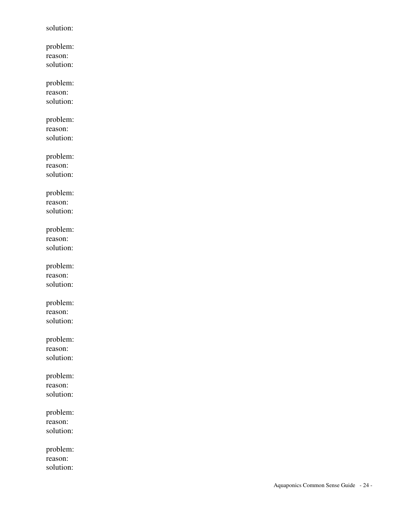solution: problem: reason: solution:

 problem: reason: solution:

 problem: reason: solution:

 problem: reason: solution:

 problem: reason: solution:

 problem: reason: solution:

 problem: reason: solution:

 problem: reason: solution:

 problem: reason: solution:

 problem: reason: solution:

 problem: reason: solution:

 problem: reason: solution: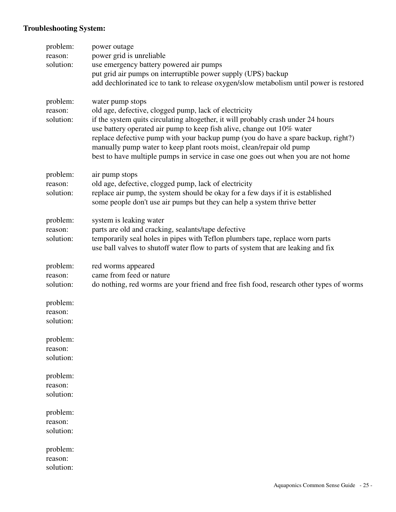## **Troubleshooting System:**

| problem:<br>reason:<br>solution: | power outage<br>power grid is unreliable                                                                                                                                                                                                                                                                                                                                                                                                                                                   |
|----------------------------------|--------------------------------------------------------------------------------------------------------------------------------------------------------------------------------------------------------------------------------------------------------------------------------------------------------------------------------------------------------------------------------------------------------------------------------------------------------------------------------------------|
|                                  | use emergency battery powered air pumps<br>put grid air pumps on interruptible power supply (UPS) backup<br>add dechlorinated ice to tank to release oxygen/slow metabolism until power is restored                                                                                                                                                                                                                                                                                        |
| problem:<br>reason:<br>solution: | water pump stops<br>old age, defective, clogged pump, lack of electricity<br>if the system quits circulating altogether, it will probably crash under 24 hours<br>use battery operated air pump to keep fish alive, change out 10% water<br>replace defective pump with your backup pump (you do have a spare backup, right?)<br>manually pump water to keep plant roots moist, clean/repair old pump<br>best to have multiple pumps in service in case one goes out when you are not home |
| problem:<br>reason:<br>solution: | air pump stops<br>old age, defective, clogged pump, lack of electricity<br>replace air pump, the system should be okay for a few days if it is established<br>some people don't use air pumps but they can help a system thrive better                                                                                                                                                                                                                                                     |
| problem:<br>reason:<br>solution: | system is leaking water<br>parts are old and cracking, sealants/tape defective<br>temporarily seal holes in pipes with Teflon plumbers tape, replace worn parts<br>use ball valves to shutoff water flow to parts of system that are leaking and fix                                                                                                                                                                                                                                       |
| problem:<br>reason:<br>solution: | red worms appeared<br>came from feed or nature<br>do nothing, red worms are your friend and free fish food, research other types of worms                                                                                                                                                                                                                                                                                                                                                  |
| problem:<br>reason:<br>solution: |                                                                                                                                                                                                                                                                                                                                                                                                                                                                                            |
| problem:<br>reason:<br>solution: |                                                                                                                                                                                                                                                                                                                                                                                                                                                                                            |
| problem:<br>reason:<br>solution: |                                                                                                                                                                                                                                                                                                                                                                                                                                                                                            |
| problem:<br>reason:<br>solution: |                                                                                                                                                                                                                                                                                                                                                                                                                                                                                            |
| problem:<br>reason:<br>solution: |                                                                                                                                                                                                                                                                                                                                                                                                                                                                                            |
|                                  |                                                                                                                                                                                                                                                                                                                                                                                                                                                                                            |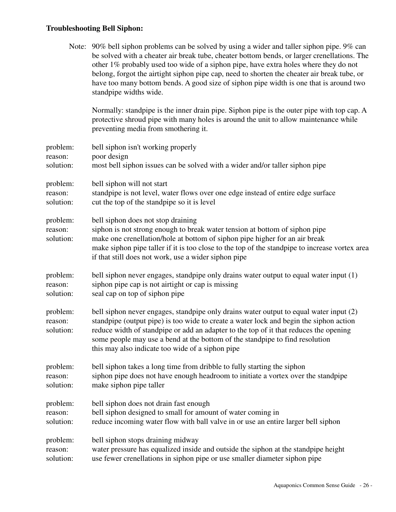## **Troubleshooting Bell Siphon:**

|                                  | Note: 90% bell siphon problems can be solved by using a wider and taller siphon pipe. 9% can<br>be solved with a cheater air break tube, cheater bottom bends, or larger crenellations. The<br>other 1% probably used too wide of a siphon pipe, have extra holes where they do not<br>belong, forgot the airtight siphon pipe cap, need to shorten the cheater air break tube, or<br>have too many bottom bends. A good size of siphon pipe width is one that is around two<br>standpipe widths wide. |
|----------------------------------|--------------------------------------------------------------------------------------------------------------------------------------------------------------------------------------------------------------------------------------------------------------------------------------------------------------------------------------------------------------------------------------------------------------------------------------------------------------------------------------------------------|
|                                  | Normally: standpipe is the inner drain pipe. Siphon pipe is the outer pipe with top cap. A<br>protective shroud pipe with many holes is around the unit to allow maintenance while<br>preventing media from smothering it.                                                                                                                                                                                                                                                                             |
| problem:<br>reason:<br>solution: | bell siphon isn't working properly<br>poor design<br>most bell siphon issues can be solved with a wider and/or taller siphon pipe                                                                                                                                                                                                                                                                                                                                                                      |
| problem:<br>reason:<br>solution: | bell siphon will not start<br>standpipe is not level, water flows over one edge instead of entire edge surface<br>cut the top of the standpipe so it is level                                                                                                                                                                                                                                                                                                                                          |
| problem:<br>reason:<br>solution: | bell siphon does not stop draining<br>siphon is not strong enough to break water tension at bottom of siphon pipe<br>make one crenellation/hole at bottom of siphon pipe higher for an air break<br>make siphon pipe taller if it is too close to the top of the standpipe to increase vortex area<br>if that still does not work, use a wider siphon pipe                                                                                                                                             |
| problem:<br>reason:<br>solution: | bell siphon never engages, standpipe only drains water output to equal water input (1)<br>siphon pipe cap is not airtight or cap is missing<br>seal cap on top of siphon pipe                                                                                                                                                                                                                                                                                                                          |
| problem:<br>reason:<br>solution: | bell siphon never engages, standpipe only drains water output to equal water input (2)<br>standpipe (output pipe) is too wide to create a water lock and begin the siphon action<br>reduce width of standpipe or add an adapter to the top of it that reduces the opening<br>some people may use a bend at the bottom of the standpipe to find resolution<br>this may also indicate too wide of a siphon pipe                                                                                          |
| problem:<br>reason:<br>solution: | bell siphon takes a long time from dribble to fully starting the siphon<br>siphon pipe does not have enough headroom to initiate a vortex over the standpipe<br>make siphon pipe taller                                                                                                                                                                                                                                                                                                                |
| problem:<br>reason:<br>solution: | bell siphon does not drain fast enough<br>bell siphon designed to small for amount of water coming in<br>reduce incoming water flow with ball valve in or use an entire larger bell siphon                                                                                                                                                                                                                                                                                                             |
| problem:<br>reason:<br>solution: | bell siphon stops draining midway<br>water pressure has equalized inside and outside the siphon at the standpipe height<br>use fewer crenellations in siphon pipe or use smaller diameter siphon pipe                                                                                                                                                                                                                                                                                                  |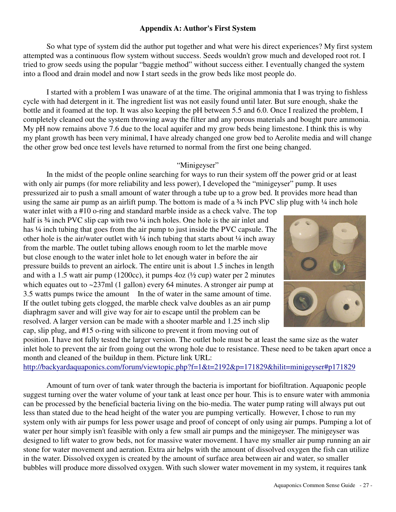## **Appendix A: Author's First System**

 So what type of system did the author put together and what were his direct experiences? My first system attempted was a continuous flow system without success. Seeds wouldn't grow much and developed root rot. I tried to grow seeds using the popular "baggie method" without success either. I eventually changed the system into a flood and drain model and now I start seeds in the grow beds like most people do.

 I started with a problem I was unaware of at the time. The original ammonia that I was trying to fishless cycle with had detergent in it. The ingredient list was not easily found until later. But sure enough, shake the bottle and it foamed at the top. It was also keeping the pH between 5.5 and 6.0. Once I realized the problem, I completely cleaned out the system throwing away the filter and any porous materials and bought pure ammonia. My pH now remains above 7.6 due to the local aquifer and my grow beds being limestone. I think this is why my plant growth has been very minimal, I have already changed one grow bed to Aerolite media and will change the other grow bed once test levels have returned to normal from the first one being changed.

## "Minigeyser"

 In the midst of the people online searching for ways to run their system off the power grid or at least with only air pumps (for more reliability and less power), I developed the "minigeyser" pump. It uses pressurized air to push a small amount of water through a tube up to a grow bed. It provides more head than using the same air pump as an airlift pump. The bottom is made of a  $\frac{3}{4}$  inch PVC slip plug with  $\frac{1}{4}$  inch hole

water inlet with a #10 o-ring and standard marble inside as a check valve. The top half is  $\frac{3}{4}$  inch PVC slip cap with two  $\frac{1}{4}$  inch holes. One hole is the air inlet and has  $\frac{1}{4}$  inch tubing that goes from the air pump to just inside the PVC capsule. The other hole is the air/water outlet with  $\frac{1}{4}$  inch tubing that starts about  $\frac{1}{4}$  inch away from the marble. The outlet tubing allows enough room to let the marble move but close enough to the water inlet hole to let enough water in before the air pressure builds to prevent an airlock. The entire unit is about 1.5 inches in length and with a 1.5 watt air pump (1200cc), it pumps  $4oz (1/2)$  cup) water per 2 minutes which equates out to ~237ml (1 gallon) every 64 minutes. A stronger air pump at 3.5 watts pumps twice the amount In the of water in the same amount of time. If the outlet tubing gets clogged, the marble check valve doubles as an air pump diaphragm saver and will give way for air to escape until the problem can be resolved. A larger version can be made with a shooter marble and 1.25 inch slip cap, slip plug, and #15 o-ring with silicone to prevent it from moving out of



position. I have not fully tested the larger version. The outlet hole must be at least the same size as the water inlet hole to prevent the air from going out the wrong hole due to resistance. These need to be taken apart once a month and cleaned of the buildup in them. Picture link URL:

http://backyardaquaponics.com/forum/viewtopic.php?f=1&t=2192&p=171829&hilit=minigeyser#p171829

 Amount of turn over of tank water through the bacteria is important for biofiltration. Aquaponic people suggest turning over the water volume of your tank at least once per hour. This is to ensure water with ammonia can be processed by the beneficial bacteria living on the bio-media. The water pump rating will always put out less than stated due to the head height of the water you are pumping vertically. However, I chose to run my system only with air pumps for less power usage and proof of concept of only using air pumps. Pumping a lot of water per hour simply isn't feasible with only a few small air pumps and the minigeyser. The minigeyser was designed to lift water to grow beds, not for massive water movement. I have my smaller air pump running an air stone for water movement and aeration. Extra air helps with the amount of dissolved oxygen the fish can utilize in the water. Dissolved oxygen is created by the amount of surface area between air and water, so smaller bubbles will produce more dissolved oxygen. With such slower water movement in my system, it requires tank